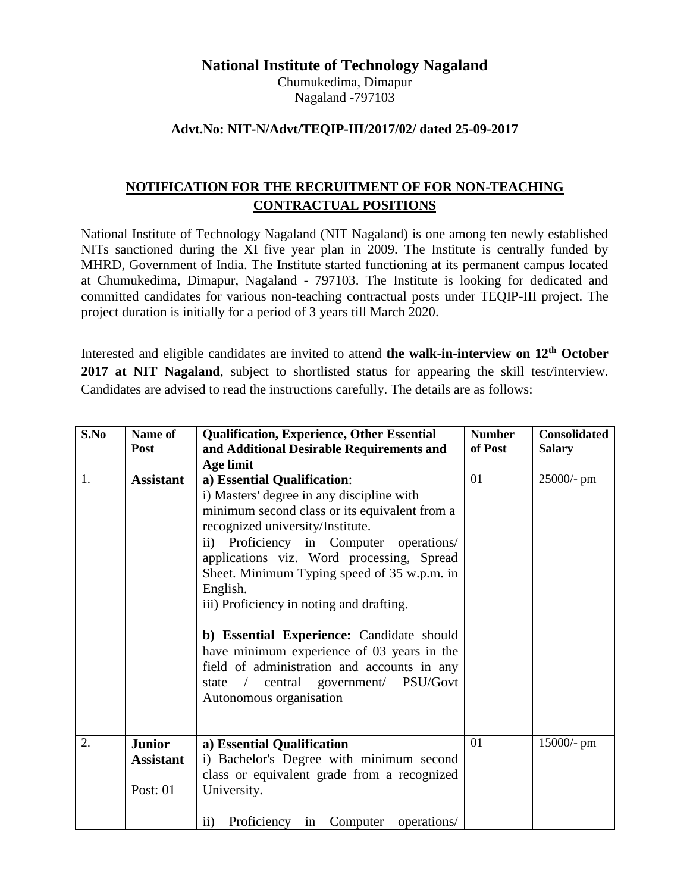# **National Institute of Technology Nagaland**

Chumukedima, Dimapur Nagaland -797103

### **Advt.No: NIT-N/Advt/TEQIP-III/2017/02/ dated 25-09-2017**

# **NOTIFICATION FOR THE RECRUITMENT OF FOR NON-TEACHING CONTRACTUAL POSITIONS**

National Institute of Technology Nagaland (NIT Nagaland) is one among ten newly established NITs sanctioned during the XI five year plan in 2009. The Institute is centrally funded by MHRD, Government of India. The Institute started functioning at its permanent campus located at Chumukedima, Dimapur, Nagaland - 797103. The Institute is looking for dedicated and committed candidates for various non-teaching contractual posts under TEQIP-III project. The project duration is initially for a period of 3 years till March 2020.

Interested and eligible candidates are invited to attend **the walk-in-interview on 12th October**  2017 at NIT Nagaland, subject to shortlisted status for appearing the skill test/interview. Candidates are advised to read the instructions carefully. The details are as follows:

| S.No | Name of<br><b>Post</b>                        | <b>Qualification, Experience, Other Essential</b><br>and Additional Desirable Requirements and                                                                                                                                                                                                                                                                                                                                                                                                                                                                            | <b>Number</b><br>of Post | <b>Consolidated</b><br><b>Salary</b> |
|------|-----------------------------------------------|---------------------------------------------------------------------------------------------------------------------------------------------------------------------------------------------------------------------------------------------------------------------------------------------------------------------------------------------------------------------------------------------------------------------------------------------------------------------------------------------------------------------------------------------------------------------------|--------------------------|--------------------------------------|
|      |                                               | Age limit                                                                                                                                                                                                                                                                                                                                                                                                                                                                                                                                                                 |                          |                                      |
| 1.   | <b>Assistant</b>                              | a) Essential Qualification:<br>i) Masters' degree in any discipline with<br>minimum second class or its equivalent from a<br>recognized university/Institute.<br>ii) Proficiency in Computer operations/<br>applications viz. Word processing, Spread<br>Sheet. Minimum Typing speed of 35 w.p.m. in<br>English.<br>iii) Proficiency in noting and drafting.<br>b) Essential Experience: Candidate should<br>have minimum experience of 03 years in the<br>field of administration and accounts in any<br>state / central government/ PSU/Govt<br>Autonomous organisation | 01                       | 25000/- pm                           |
| 2.   | <b>Junior</b><br><b>Assistant</b><br>Post: 01 | a) Essential Qualification<br>i) Bachelor's Degree with minimum second<br>class or equivalent grade from a recognized<br>University.                                                                                                                                                                                                                                                                                                                                                                                                                                      | 01                       | 15000/- pm                           |
|      |                                               | Proficiency in Computer<br>$\ddot{\mathbf{i}}$<br>operations/                                                                                                                                                                                                                                                                                                                                                                                                                                                                                                             |                          |                                      |